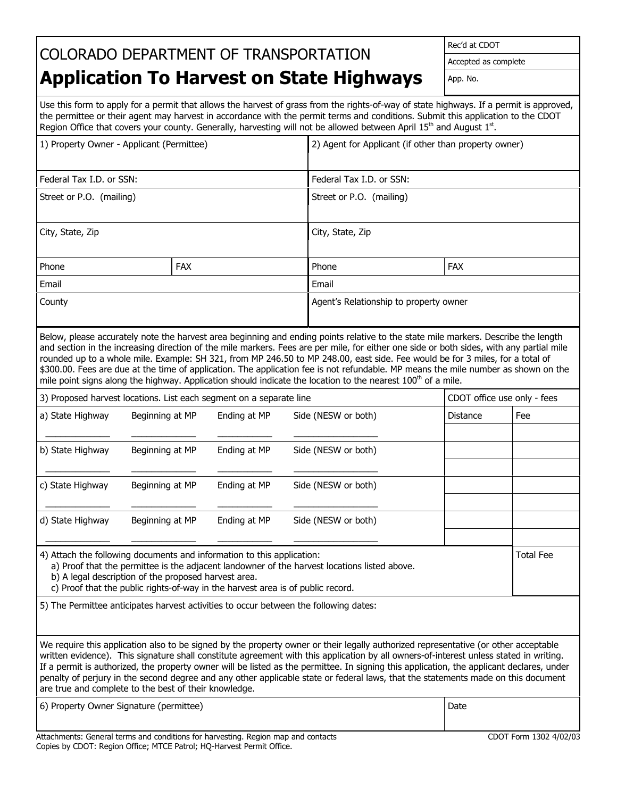## COLORADO DEPARTMENT OF TRANSPORTATION

Rec'd at CDOT

Accepted as complete

## **Application To Harvest on State Highways**

App. No.

Use this form to apply for a permit that allows the harvest of grass from the rights-of-way of state highways. If a permit is approved, the permittee or their agent may harvest in accordance with the permit terms and conditions. Submit this application to the CDOT Region Office that covers your county. Generally, harvesting will not be allowed between April 15<sup>th</sup> and August 1<sup>st</sup>.

| 1) Property Owner - Applicant (Permittee)                                                                                                                                                                                                                                                                         |                                                                     |              |                                                                                                                                                                                                                                                                                                                                                                                                                                                                                                                                                                                                                                                                                   | 2) Agent for Applicant (if other than property owner) |                             |  |
|-------------------------------------------------------------------------------------------------------------------------------------------------------------------------------------------------------------------------------------------------------------------------------------------------------------------|---------------------------------------------------------------------|--------------|-----------------------------------------------------------------------------------------------------------------------------------------------------------------------------------------------------------------------------------------------------------------------------------------------------------------------------------------------------------------------------------------------------------------------------------------------------------------------------------------------------------------------------------------------------------------------------------------------------------------------------------------------------------------------------------|-------------------------------------------------------|-----------------------------|--|
| Federal Tax I.D. or SSN:                                                                                                                                                                                                                                                                                          |                                                                     |              | Federal Tax I.D. or SSN:                                                                                                                                                                                                                                                                                                                                                                                                                                                                                                                                                                                                                                                          |                                                       |                             |  |
| Street or P.O. (mailing)                                                                                                                                                                                                                                                                                          |                                                                     |              | Street or P.O. (mailing)                                                                                                                                                                                                                                                                                                                                                                                                                                                                                                                                                                                                                                                          |                                                       |                             |  |
| City, State, Zip                                                                                                                                                                                                                                                                                                  |                                                                     |              | City, State, Zip                                                                                                                                                                                                                                                                                                                                                                                                                                                                                                                                                                                                                                                                  |                                                       |                             |  |
| Phone                                                                                                                                                                                                                                                                                                             | <b>FAX</b>                                                          |              | Phone                                                                                                                                                                                                                                                                                                                                                                                                                                                                                                                                                                                                                                                                             | <b>FAX</b>                                            |                             |  |
| Email                                                                                                                                                                                                                                                                                                             |                                                                     |              | Email                                                                                                                                                                                                                                                                                                                                                                                                                                                                                                                                                                                                                                                                             |                                                       |                             |  |
| County                                                                                                                                                                                                                                                                                                            |                                                                     |              |                                                                                                                                                                                                                                                                                                                                                                                                                                                                                                                                                                                                                                                                                   | Agent's Relationship to property owner                |                             |  |
|                                                                                                                                                                                                                                                                                                                   |                                                                     |              | Below, please accurately note the harvest area beginning and ending points relative to the state mile markers. Describe the length<br>and section in the increasing direction of the mile markers. Fees are per mile, for either one side or both sides, with any partial mile<br>rounded up to a whole mile. Example: SH 321, from MP 246.50 to MP 248.00, east side. Fee would be for 3 miles, for a total of<br>\$300.00. Fees are due at the time of application. The application fee is not refundable. MP means the mile number as shown on the<br>mile point signs along the highway. Application should indicate the location to the nearest 100 <sup>th</sup> of a mile. |                                                       |                             |  |
|                                                                                                                                                                                                                                                                                                                   | 3) Proposed harvest locations. List each segment on a separate line |              |                                                                                                                                                                                                                                                                                                                                                                                                                                                                                                                                                                                                                                                                                   |                                                       | CDOT office use only - fees |  |
| a) State Highway                                                                                                                                                                                                                                                                                                  | Beginning at MP                                                     | Ending at MP | Side (NESW or both)                                                                                                                                                                                                                                                                                                                                                                                                                                                                                                                                                                                                                                                               | Distance                                              | Fee                         |  |
|                                                                                                                                                                                                                                                                                                                   |                                                                     |              |                                                                                                                                                                                                                                                                                                                                                                                                                                                                                                                                                                                                                                                                                   |                                                       |                             |  |
| b) State Highway                                                                                                                                                                                                                                                                                                  | Beginning at MP                                                     | Ending at MP | Side (NESW or both)                                                                                                                                                                                                                                                                                                                                                                                                                                                                                                                                                                                                                                                               |                                                       |                             |  |
|                                                                                                                                                                                                                                                                                                                   |                                                                     |              |                                                                                                                                                                                                                                                                                                                                                                                                                                                                                                                                                                                                                                                                                   |                                                       |                             |  |
| c) State Highway                                                                                                                                                                                                                                                                                                  | Beginning at MP                                                     | Ending at MP | Side (NESW or both)                                                                                                                                                                                                                                                                                                                                                                                                                                                                                                                                                                                                                                                               |                                                       |                             |  |
| d) State Highway                                                                                                                                                                                                                                                                                                  | Beginning at MP                                                     | Ending at MP | Side (NESW or both)                                                                                                                                                                                                                                                                                                                                                                                                                                                                                                                                                                                                                                                               |                                                       |                             |  |
| 4) Attach the following documents and information to this application:<br>a) Proof that the permittee is the adjacent landowner of the harvest locations listed above.<br>b) A legal description of the proposed harvest area.<br>c) Proof that the public rights-of-way in the harvest area is of public record. |                                                                     |              |                                                                                                                                                                                                                                                                                                                                                                                                                                                                                                                                                                                                                                                                                   |                                                       | <b>Total Fee</b>            |  |
|                                                                                                                                                                                                                                                                                                                   |                                                                     |              | 5) The Permittee anticipates harvest activities to occur between the following dates:                                                                                                                                                                                                                                                                                                                                                                                                                                                                                                                                                                                             |                                                       |                             |  |
|                                                                                                                                                                                                                                                                                                                   | are true and complete to the best of their knowledge.               |              | We require this application also to be signed by the property owner or their legally authorized representative (or other acceptable<br>written evidence). This signature shall constitute agreement with this application by all owners-of-interest unless stated in writing.<br>If a permit is authorized, the property owner will be listed as the permittee. In signing this application, the applicant declares, under<br>penalty of perjury in the second degree and any other applicable state or federal laws, that the statements made on this document                                                                                                                   |                                                       |                             |  |
| 6) Property Owner Signature (permittee)                                                                                                                                                                                                                                                                           |                                                                     |              |                                                                                                                                                                                                                                                                                                                                                                                                                                                                                                                                                                                                                                                                                   |                                                       |                             |  |

Attachments: General terms and conditions for harvesting. Region map and contacts CDOT Form 1302 4/02/03 Copies by CDOT: Region Office; MTCE Patrol; HQ-Harvest Permit Office.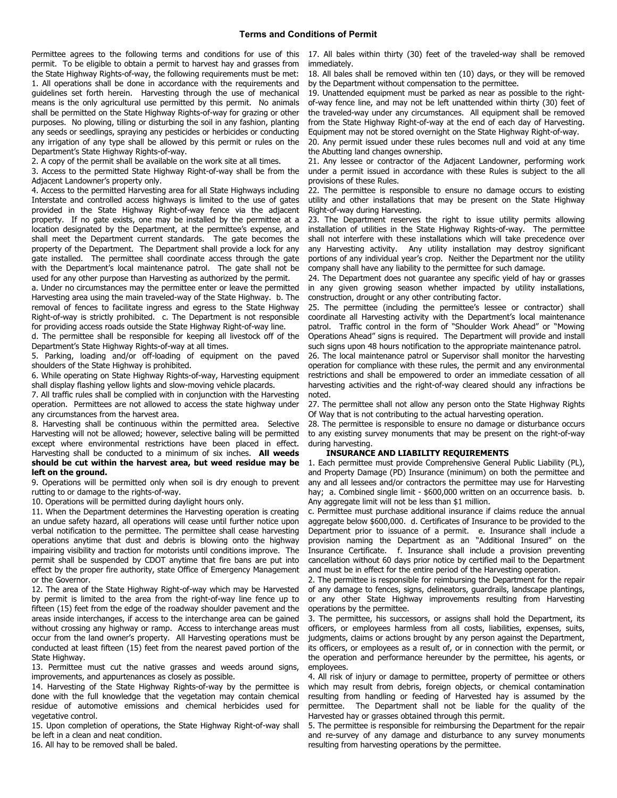permit. To be eligible to obtain a permit to harvest hay and grasses from the State Highway Rights-of-way, the following requirements must be met: 1. All operations shall be done in accordance with the requirements and guidelines set forth herein. Harvesting through the use of mechanical means is the only agricultural use permitted by this permit. No animals shall be permitted on the State Highway Rights-of-way for grazing or other purposes. No plowing, tilling or disturbing the soil in any fashion, planting any seeds or seedlings, spraying any pesticides or herbicides or conducting any irrigation of any type shall be allowed by this permit or rules on the Department's State Highway Rights-of-way.

2. A copy of the permit shall be available on the work site at all times.

3. Access to the permitted State Highway Right-of-way shall be from the Adjacent Landowner's property only.

4. Access to the permitted Harvesting area for all State Highways including Interstate and controlled access highways is limited to the use of gates provided in the State Highway Right-of-way fence via the adjacent property. If no gate exists, one may be installed by the permittee at a location designated by the Department, at the permittee's expense, and shall meet the Department current standards. The gate becomes the property of the Department. The Department shall provide a lock for any gate installed. The permittee shall coordinate access through the gate with the Department's local maintenance patrol. The gate shall not be used for any other purpose than Harvesting as authorized by the permit.

a. Under no circumstances may the permittee enter or leave the permitted Harvesting area using the main traveled-way of the State Highway. b. The removal of fences to facilitate ingress and egress to the State Highway Right-of-way is strictly prohibited. c. The Department is not responsible for providing access roads outside the State Highway Right-of-way line.

d. The permittee shall be responsible for keeping all livestock off of the Department's State Highway Rights-of-way at all times.

5. Parking, loading and/or off-loading of equipment on the paved shoulders of the State Highway is prohibited.

6. While operating on State Highway Rights-of-way, Harvesting equipment shall display flashing yellow lights and slow-moving vehicle placards.

7. All traffic rules shall be complied with in conjunction with the Harvesting operation. Permittees are not allowed to access the state highway under any circumstances from the harvest area.

8. Harvesting shall be continuous within the permitted area. Selective Harvesting will not be allowed; however, selective baling will be permitted except where environmental restrictions have been placed in effect. Harvesting shall be conducted to a minimum of six inches. **All weeds should be cut within the harvest area, but weed residue may be left on the ground.**

9. Operations will be permitted only when soil is dry enough to prevent rutting to or damage to the rights-of-way.

10. Operations will be permitted during daylight hours only.

11. When the Department determines the Harvesting operation is creating an undue safety hazard, all operations will cease until further notice upon verbal notification to the permittee. The permittee shall cease harvesting operations anytime that dust and debris is blowing onto the highway impairing visibility and traction for motorists until conditions improve. The permit shall be suspended by CDOT anytime that fire bans are put into effect by the proper fire authority, state Office of Emergency Management or the Governor.

12. The area of the State Highway Right-of-way which may be Harvested by permit is limited to the area from the right-of-way line fence up to fifteen (15) feet from the edge of the roadway shoulder pavement and the areas inside interchanges, if access to the interchange area can be gained without crossing any highway or ramp. Access to interchange areas must occur from the land owner's property. All Harvesting operations must be conducted at least fifteen (15) feet from the nearest paved portion of the State Highway.

13. Permittee must cut the native grasses and weeds around signs, improvements, and appurtenances as closely as possible.

14. Harvesting of the State Highway Rights-of-way by the permittee is done with the full knowledge that the vegetation may contain chemical residue of automotive emissions and chemical herbicides used for vegetative control.

15. Upon completion of operations, the State Highway Right-of-way shall be left in a clean and neat condition.

16. All hay to be removed shall be baled.

Permittee agrees to the following terms and conditions for use of this 17. All bales within thirty (30) feet of the traveled-way shall be removed immediately.

> 18. All bales shall be removed within ten (10) days, or they will be removed by the Department without compensation to the permittee.

> 19. Unattended equipment must be parked as near as possible to the rightof-way fence line, and may not be left unattended within thirty (30) feet of the traveled-way under any circumstances. All equipment shall be removed from the State Highway Right-of-way at the end of each day of Harvesting. Equipment may not be stored overnight on the State Highway Right-of-way.

> 20. Any permit issued under these rules becomes null and void at any time the Abutting land changes ownership.

> 21. Any lessee or contractor of the Adjacent Landowner, performing work under a permit issued in accordance with these Rules is subject to the all provisions of these Rules.

> 22. The permittee is responsible to ensure no damage occurs to existing utility and other installations that may be present on the State Highway Right-of-way during Harvesting.

> 23. The Department reserves the right to issue utility permits allowing installation of utilities in the State Highway Rights-of-way. The permittee shall not interfere with these installations which will take precedence over any Harvesting activity. Any utility installation may destroy significant portions of any individual year's crop. Neither the Department nor the utility company shall have any liability to the permittee for such damage.

> 24. The Department does not guarantee any specific yield of hay or grasses in any given growing season whether impacted by utility installations, construction, drought or any other contributing factor.

> 25. The permittee (including the permittee's lessee or contractor) shall coordinate all Harvesting activity with the Department's local maintenance patrol. Traffic control in the form of "Shoulder Work Ahead" or "Mowing Operations Ahead" signs is required. The Department will provide and install such signs upon 48 hours notification to the appropriate maintenance patrol.

> 26. The local maintenance patrol or Supervisor shall monitor the harvesting operation for compliance with these rules, the permit and any environmental restrictions and shall be empowered to order an immediate cessation of all harvesting activities and the right-of-way cleared should any infractions be noted.

> 27. The permittee shall not allow any person onto the State Highway Rights Of Way that is not contributing to the actual harvesting operation.

> 28. The permittee is responsible to ensure no damage or disturbance occurs to any existing survey monuments that may be present on the right-of-way during harvesting.

## **INSURANCE AND LIABILITY REQUIREMENTS**

1. Each permittee must provide Comprehensive General Public Liability (PL), and Property Damage (PD) Insurance (minimum) on both the permittee and any and all lessees and/or contractors the permittee may use for Harvesting hay; a. Combined single limit - \$600,000 written on an occurrence basis. b. Any aggregate limit will not be less than \$1 million.

c. Permittee must purchase additional insurance if claims reduce the annual aggregate below \$600,000. d. Certificates of Insurance to be provided to the Department prior to issuance of a permit. e. Insurance shall include a provision naming the Department as an "Additional Insured" on the Insurance Certificate. f. Insurance shall include a provision preventing cancellation without 60 days prior notice by certified mail to the Department and must be in effect for the entire period of the Harvesting operation.

2. The permittee is responsible for reimbursing the Department for the repair of any damage to fences, signs, delineators, guardrails, landscape plantings, or any other State Highway improvements resulting from Harvesting operations by the permittee.

3. The permittee, his successors, or assigns shall hold the Department, its officers, or employees harmless from all costs, liabilities, expenses, suits, judgments, claims or actions brought by any person against the Department, its officers, or employees as a result of, or in connection with the permit, or the operation and performance hereunder by the permittee, his agents, or employees.

4. All risk of injury or damage to permittee, property of permittee or others which may result from debris, foreign objects, or chemical contamination resulting from handling or feeding of Harvested hay is assumed by the permittee. The Department shall not be liable for the quality of the Harvested hay or grasses obtained through this permit.

5. The permittee is responsible for reimbursing the Department for the repair and re-survey of any damage and disturbance to any survey monuments resulting from harvesting operations by the permittee.